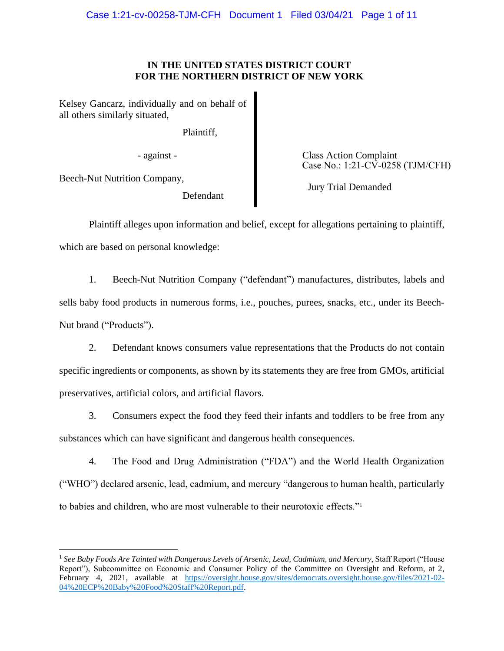# **IN THE UNITED STATES DISTRICT COURT FOR THE NORTHERN DISTRICT OF NEW YORK**

Kelsey Gancarz, individually and on behalf of all others similarly situated,

Plaintiff,

Beech-Nut Nutrition Company,

Defendant

- against - Class Action Complaint Case No.: 1:21-CV-0258 (TJM/CFH)

Jury Trial Demanded

Plaintiff alleges upon information and belief, except for allegations pertaining to plaintiff, which are based on personal knowledge:

1. Beech-Nut Nutrition Company ("defendant") manufactures, distributes, labels and sells baby food products in numerous forms, i.e., pouches, purees, snacks, etc., under its Beech-Nut brand ("Products").

2. Defendant knows consumers value representations that the Products do not contain specific ingredients or components, as shown by its statements they are free from GMOs, artificial preservatives, artificial colors, and artificial flavors.

3. Consumers expect the food they feed their infants and toddlers to be free from any substances which can have significant and dangerous health consequences.

4. The Food and Drug Administration ("FDA") and the World Health Organization ("WHO") declared arsenic, lead, cadmium, and mercury "dangerous to human health, particularly to babies and children, who are most vulnerable to their neurotoxic effects."<sup>1</sup>

<sup>1</sup> *See Baby Foods Are Tainted with Dangerous Levels of Arsenic, Lead, Cadmium, and Mercury*, Staff Report ("House Report"), Subcommittee on Economic and Consumer Policy of the Committee on Oversight and Reform, at 2, February 4, 2021, available at https://oversight.house.gov/sites/democrats.oversight.house.gov/files/2021-02-04%20ECP%20Baby%20Food%20Staff%20Report.pdf.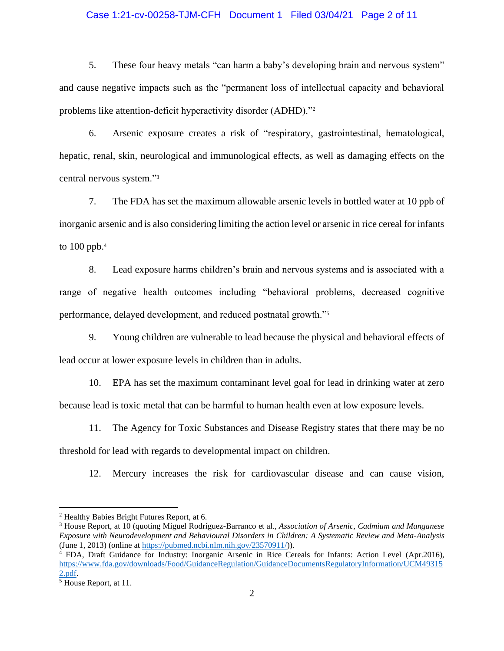## Case 1:21-cv-00258-TJM-CFH Document 1 Filed 03/04/21 Page 2 of 11

5. These four heavy metals "can harm a baby's developing brain and nervous system" and cause negative impacts such as the "permanent loss of intellectual capacity and behavioral problems like attention-deficit hyperactivity disorder (ADHD)."<sup>2</sup>

6. Arsenic exposure creates a risk of "respiratory, gastrointestinal, hematological, hepatic, renal, skin, neurological and immunological effects, as well as damaging effects on the central nervous system."<sup>3</sup>

7. The FDA has set the maximum allowable arsenic levels in bottled water at 10 ppb of inorganic arsenic and is also considering limiting the action level or arsenic in rice cereal for infants to 100 ppb.<sup>4</sup>

8. Lead exposure harms children's brain and nervous systems and is associated with a range of negative health outcomes including "behavioral problems, decreased cognitive performance, delayed development, and reduced postnatal growth."<sup>5</sup>

9. Young children are vulnerable to lead because the physical and behavioral effects of lead occur at lower exposure levels in children than in adults.

10. EPA has set the maximum contaminant level goal for lead in drinking water at zero because lead is toxic metal that can be harmful to human health even at low exposure levels.

11. The Agency for Toxic Substances and Disease Registry states that there may be no threshold for lead with regards to developmental impact on children.

12. Mercury increases the risk for cardiovascular disease and can cause vision,

<sup>2</sup> Healthy Babies Bright Futures Report, at 6.

<sup>3</sup> House Report, at 10 (quoting Miguel Rodríguez-Barranco et al., *Association of Arsenic, Cadmium and Manganese Exposure with Neurodevelopment and Behavioural Disorders in Children: A Systematic Review and Meta-Analysis*  (June 1, 2013) (online at https://pubmed.ncbi.nlm.nih.gov/23570911/)).

<sup>4</sup> FDA, Draft Guidance for Industry: Inorganic Arsenic in Rice Cereals for Infants: Action Level (Apr.2016), https://www.fda.gov/downloads/Food/GuidanceRegulation/GuidanceDocumentsRegulatoryInformation/UCM49315 2.pdf.

<sup>&</sup>lt;sup>5</sup> House Report, at 11.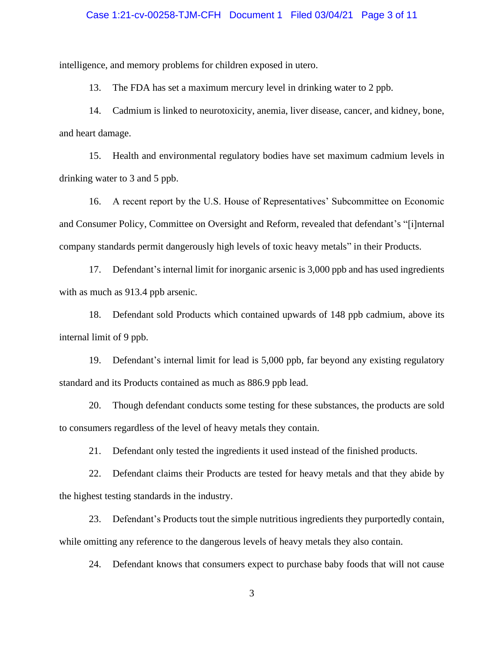#### Case 1:21-cv-00258-TJM-CFH Document 1 Filed 03/04/21 Page 3 of 11

intelligence, and memory problems for children exposed in utero.

13. The FDA has set a maximum mercury level in drinking water to 2 ppb.

14. Cadmium is linked to neurotoxicity, anemia, liver disease, cancer, and kidney, bone, and heart damage.

15. Health and environmental regulatory bodies have set maximum cadmium levels in drinking water to 3 and 5 ppb.

16. A recent report by the U.S. House of Representatives' Subcommittee on Economic and Consumer Policy, Committee on Oversight and Reform, revealed that defendant's "[i]nternal company standards permit dangerously high levels of toxic heavy metals" in their Products.

17. Defendant's internal limit for inorganic arsenic is 3,000 ppb and has used ingredients with as much as 913.4 ppb arsenic.

18. Defendant sold Products which contained upwards of 148 ppb cadmium, above its internal limit of 9 ppb.

19. Defendant's internal limit for lead is 5,000 ppb, far beyond any existing regulatory standard and its Products contained as much as 886.9 ppb lead.

20. Though defendant conducts some testing for these substances, the products are sold to consumers regardless of the level of heavy metals they contain.

21. Defendant only tested the ingredients it used instead of the finished products.

22. Defendant claims their Products are tested for heavy metals and that they abide by the highest testing standards in the industry.

23. Defendant's Products tout the simple nutritious ingredients they purportedly contain, while omitting any reference to the dangerous levels of heavy metals they also contain.

24. Defendant knows that consumers expect to purchase baby foods that will not cause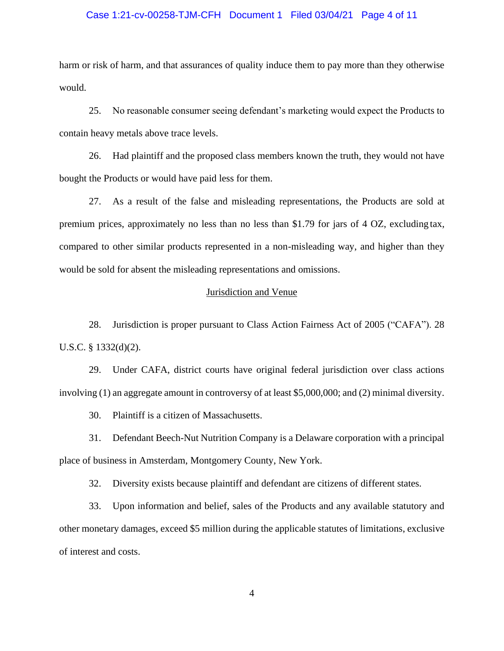## Case 1:21-cv-00258-TJM-CFH Document 1 Filed 03/04/21 Page 4 of 11

harm or risk of harm, and that assurances of quality induce them to pay more than they otherwise would.

25. No reasonable consumer seeing defendant's marketing would expect the Products to contain heavy metals above trace levels.

26. Had plaintiff and the proposed class members known the truth, they would not have bought the Products or would have paid less for them.

27. As a result of the false and misleading representations, the Products are sold at premium prices, approximately no less than no less than \$1.79 for jars of 4 OZ, excluding tax, compared to other similar products represented in a non-misleading way, and higher than they would be sold for absent the misleading representations and omissions.

## Jurisdiction and Venue

28. Jurisdiction is proper pursuant to Class Action Fairness Act of 2005 ("CAFA"). 28 U.S.C. § 1332(d)(2).

29. Under CAFA, district courts have original federal jurisdiction over class actions involving (1) an aggregate amount in controversy of at least \$5,000,000; and (2) minimal diversity.

30. Plaintiff is a citizen of Massachusetts.

31. Defendant Beech-Nut Nutrition Company is a Delaware corporation with a principal place of business in Amsterdam, Montgomery County, New York.

32. Diversity exists because plaintiff and defendant are citizens of different states.

33. Upon information and belief, sales of the Products and any available statutory and other monetary damages, exceed \$5 million during the applicable statutes of limitations, exclusive of interest and costs.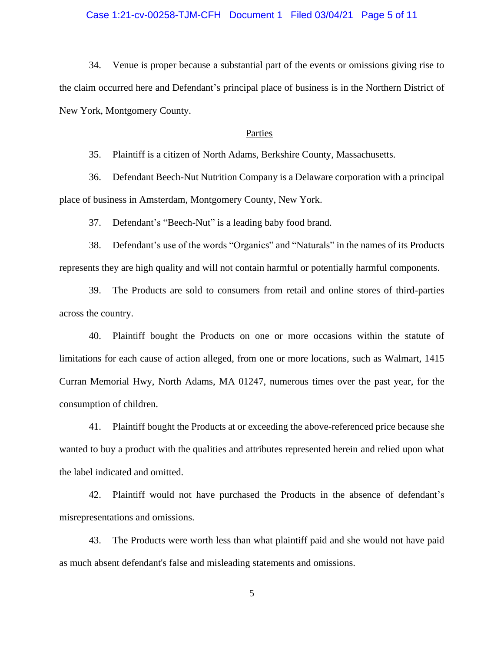# Case 1:21-cv-00258-TJM-CFH Document 1 Filed 03/04/21 Page 5 of 11

34. Venue is proper because a substantial part of the events or omissions giving rise to the claim occurred here and Defendant's principal place of business is in the Northern District of New York, Montgomery County.

## Parties

35. Plaintiff is a citizen of North Adams, Berkshire County, Massachusetts.

36. Defendant Beech-Nut Nutrition Company is a Delaware corporation with a principal place of business in Amsterdam, Montgomery County, New York.

37. Defendant's "Beech-Nut" is a leading baby food brand.

38. Defendant's use of the words "Organics" and "Naturals" in the names of its Products represents they are high quality and will not contain harmful or potentially harmful components.

39. The Products are sold to consumers from retail and online stores of third-parties across the country.

40. Plaintiff bought the Products on one or more occasions within the statute of limitations for each cause of action alleged, from one or more locations, such as Walmart, 1415 Curran Memorial Hwy, North Adams, MA 01247, numerous times over the past year, for the consumption of children.

41. Plaintiff bought the Products at or exceeding the above-referenced price because she wanted to buy a product with the qualities and attributes represented herein and relied upon what the label indicated and omitted.

42. Plaintiff would not have purchased the Products in the absence of defendant's misrepresentations and omissions.

43. The Products were worth less than what plaintiff paid and she would not have paid as much absent defendant's false and misleading statements and omissions.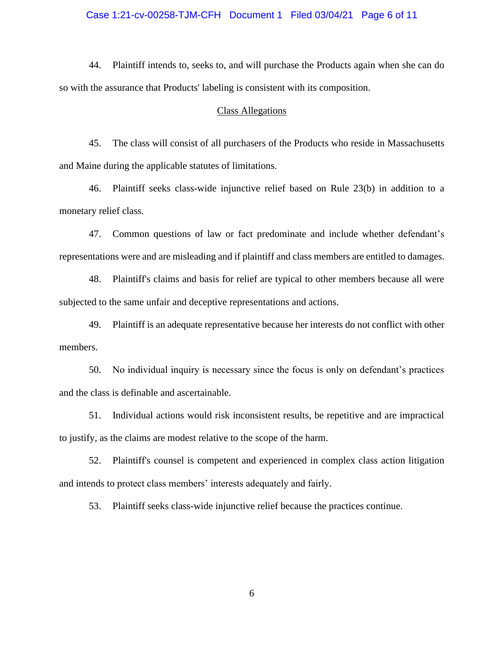# Case 1:21-cv-00258-TJM-CFH Document 1 Filed 03/04/21 Page 6 of 11

44. Plaintiff intends to, seeks to, and will purchase the Products again when she can do so with the assurance that Products' labeling is consistent with its composition.

#### Class Allegations

45. The class will consist of all purchasers of the Products who reside in Massachusetts and Maine during the applicable statutes of limitations.

46. Plaintiff seeks class-wide injunctive relief based on Rule 23(b) in addition to a monetary relief class.

47. Common questions of law or fact predominate and include whether defendant's representations were and are misleading and if plaintiff and class members are entitled to damages.

48. Plaintiff's claims and basis for relief are typical to other members because all were subjected to the same unfair and deceptive representations and actions.

49. Plaintiff is an adequate representative because her interests do not conflict with other members.

50. No individual inquiry is necessary since the focus is only on defendant's practices and the class is definable and ascertainable.

51. Individual actions would risk inconsistent results, be repetitive and are impractical to justify, as the claims are modest relative to the scope of the harm.

52. Plaintiff's counsel is competent and experienced in complex class action litigation and intends to protect class members' interests adequately and fairly.

53. Plaintiff seeks class-wide injunctive relief because the practices continue.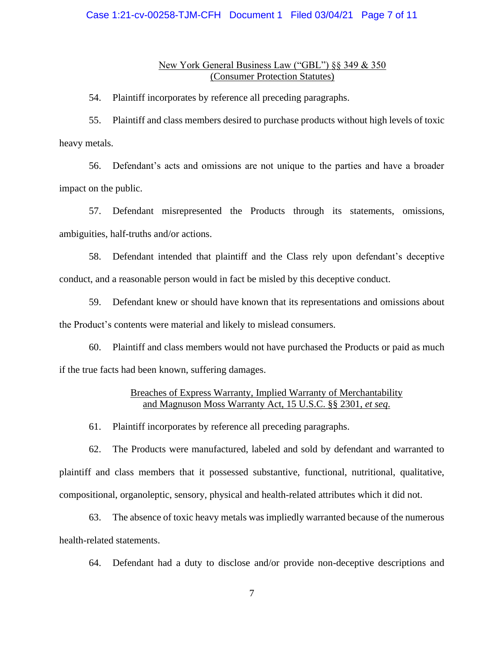## Case 1:21-cv-00258-TJM-CFH Document 1 Filed 03/04/21 Page 7 of 11

## New York General Business Law ("GBL") §§ 349 & 350 (Consumer Protection Statutes)

54. Plaintiff incorporates by reference all preceding paragraphs.

55. Plaintiff and class members desired to purchase products without high levels of toxic heavy metals.

56. Defendant's acts and omissions are not unique to the parties and have a broader impact on the public.

57. Defendant misrepresented the Products through its statements, omissions, ambiguities, half-truths and/or actions.

58. Defendant intended that plaintiff and the Class rely upon defendant's deceptive conduct, and a reasonable person would in fact be misled by this deceptive conduct.

59. Defendant knew or should have known that its representations and omissions about the Product's contents were material and likely to mislead consumers.

60. Plaintiff and class members would not have purchased the Products or paid as much if the true facts had been known, suffering damages.

# Breaches of Express Warranty, Implied Warranty of Merchantability and Magnuson Moss Warranty Act, 15 U.S.C. §§ 2301, *et seq*.

61. Plaintiff incorporates by reference all preceding paragraphs.

62. The Products were manufactured, labeled and sold by defendant and warranted to plaintiff and class members that it possessed substantive, functional, nutritional, qualitative, compositional, organoleptic, sensory, physical and health-related attributes which it did not.

63. The absence of toxic heavy metals was impliedly warranted because of the numerous health-related statements.

64. Defendant had a duty to disclose and/or provide non-deceptive descriptions and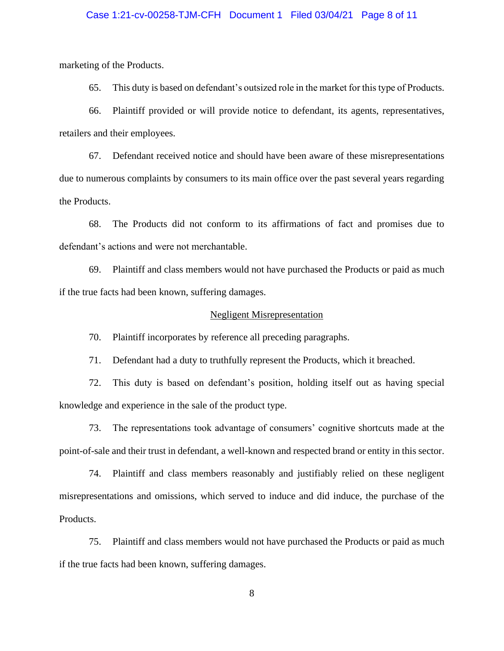## Case 1:21-cv-00258-TJM-CFH Document 1 Filed 03/04/21 Page 8 of 11

marketing of the Products.

65. This duty is based on defendant's outsized role in the market for this type of Products.

66. Plaintiff provided or will provide notice to defendant, its agents, representatives, retailers and their employees.

67. Defendant received notice and should have been aware of these misrepresentations due to numerous complaints by consumers to its main office over the past several years regarding the Products.

68. The Products did not conform to its affirmations of fact and promises due to defendant's actions and were not merchantable.

69. Plaintiff and class members would not have purchased the Products or paid as much if the true facts had been known, suffering damages.

#### Negligent Misrepresentation

70. Plaintiff incorporates by reference all preceding paragraphs.

71. Defendant had a duty to truthfully represent the Products, which it breached.

72. This duty is based on defendant's position, holding itself out as having special knowledge and experience in the sale of the product type.

73. The representations took advantage of consumers' cognitive shortcuts made at the point-of-sale and their trust in defendant, a well-known and respected brand or entity in this sector.

74. Plaintiff and class members reasonably and justifiably relied on these negligent misrepresentations and omissions, which served to induce and did induce, the purchase of the Products.

75. Plaintiff and class members would not have purchased the Products or paid as much if the true facts had been known, suffering damages.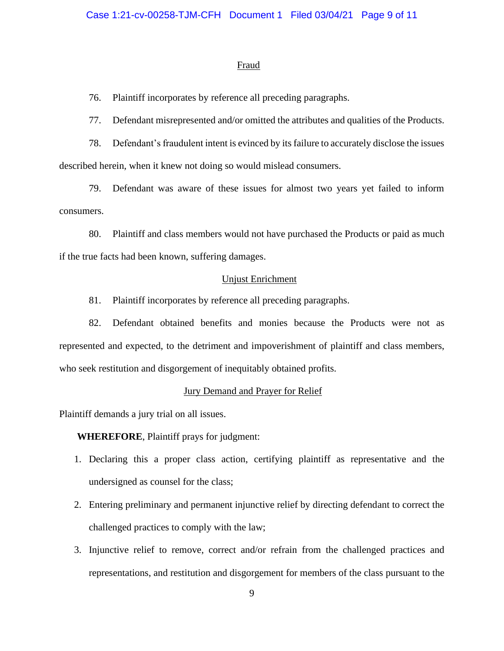#### **Fraud**

76. Plaintiff incorporates by reference all preceding paragraphs.

77. Defendant misrepresented and/or omitted the attributes and qualities of the Products.

78. Defendant's fraudulent intent is evinced by its failure to accurately disclose the issues described herein, when it knew not doing so would mislead consumers.

79. Defendant was aware of these issues for almost two years yet failed to inform consumers.

80. Plaintiff and class members would not have purchased the Products or paid as much if the true facts had been known, suffering damages.

## Unjust Enrichment

81. Plaintiff incorporates by reference all preceding paragraphs.

82. Defendant obtained benefits and monies because the Products were not as represented and expected, to the detriment and impoverishment of plaintiff and class members, who seek restitution and disgorgement of inequitably obtained profits.

#### Jury Demand and Prayer for Relief

Plaintiff demands a jury trial on all issues.

**WHEREFORE**, Plaintiff prays for judgment:

- 1. Declaring this a proper class action, certifying plaintiff as representative and the undersigned as counsel for the class;
- 2. Entering preliminary and permanent injunctive relief by directing defendant to correct the challenged practices to comply with the law;
- 3. Injunctive relief to remove, correct and/or refrain from the challenged practices and representations, and restitution and disgorgement for members of the class pursuant to the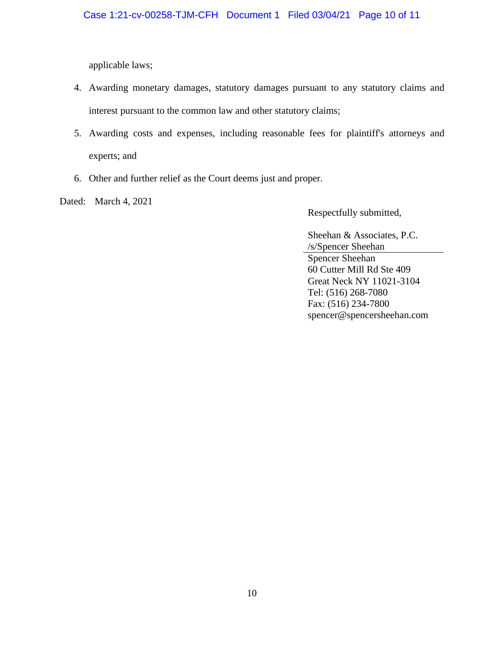applicable laws;

- 4. Awarding monetary damages, statutory damages pursuant to any statutory claims and interest pursuant to the common law and other statutory claims;
- 5. Awarding costs and expenses, including reasonable fees for plaintiff's attorneys and experts; and
- 6. Other and further relief as the Court deems just and proper.
- Dated: March 4, 2021

Respectfully submitted,

Sheehan & Associates, P.C. /s/Spencer Sheehan

Spencer Sheehan 60 Cutter Mill Rd Ste 409 Great Neck NY 11021-3104 Tel: (516) 268-7080 Fax: (516) 234-7800 spencer@spencersheehan.com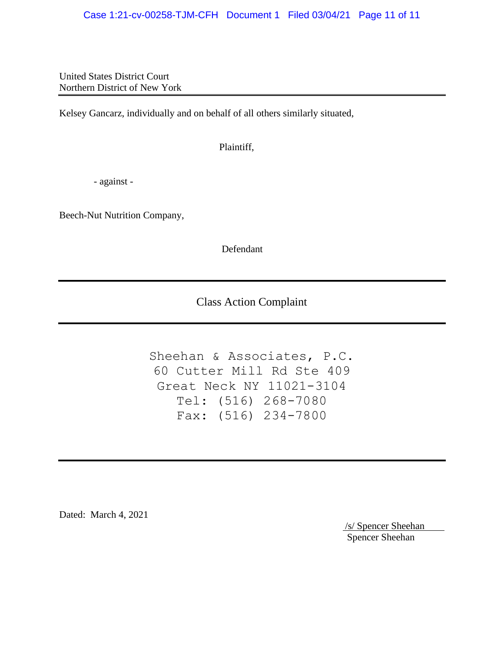United States District Court Northern District of New York

Kelsey Gancarz, individually and on behalf of all others similarly situated,

Plaintiff,

- against -

Beech-Nut Nutrition Company,

Defendant

Class Action Complaint

Sheehan & Associates, P.C. 60 Cutter Mill Rd Ste 409 Great Neck NY 11021-3104 Tel: (516) 268-7080 Fax: (516) 234-7800

Dated: March 4, 2021

/s/ Spencer Sheehan Spencer Sheehan